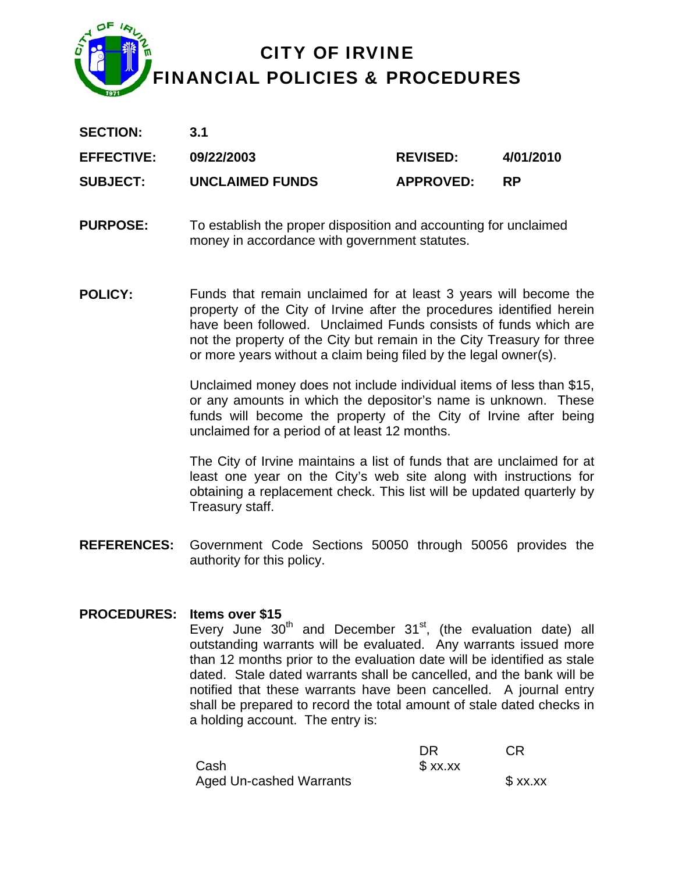

| <b>SECTION:</b>   | 3.1             |                  |           |
|-------------------|-----------------|------------------|-----------|
| <b>EFFECTIVE:</b> | 09/22/2003      | <b>REVISED:</b>  | 4/01/2010 |
| <b>SUBJECT:</b>   | UNCLAIMED FUNDS | <b>APPROVED:</b> | <b>RP</b> |

- **PURPOSE:** To establish the proper disposition and accounting for unclaimed money in accordance with government statutes.
- **POLICY:** Funds that remain unclaimed for at least 3 years will become the property of the City of Irvine after the procedures identified herein have been followed. Unclaimed Funds consists of funds which are not the property of the City but remain in the City Treasury for three or more years without a claim being filed by the legal owner(s).

Unclaimed money does not include individual items of less than \$15, or any amounts in which the depositor's name is unknown. These funds will become the property of the City of Irvine after being unclaimed for a period of at least 12 months.

The City of Irvine maintains a list of funds that are unclaimed for at least one year on the City's web site along with instructions for obtaining a replacement check. This list will be updated quarterly by Treasury staff.

**REFERENCES:** Government Code Sections 50050 through 50056 provides the authority for this policy.

#### **PROCEDURES: Items over \$15**

Every June  $30<sup>th</sup>$  and December  $31<sup>st</sup>$ , (the evaluation date) all outstanding warrants will be evaluated. Any warrants issued more than 12 months prior to the evaluation date will be identified as stale dated. Stale dated warrants shall be cancelled, and the bank will be notified that these warrants have been cancelled. A journal entry shall be prepared to record the total amount of stale dated checks in a holding account. The entry is:

|                                | DR        | <b>CR</b> |
|--------------------------------|-----------|-----------|
| Cash                           | $$$ xx.xx |           |
| <b>Aged Un-cashed Warrants</b> |           | $$$ xx.xx |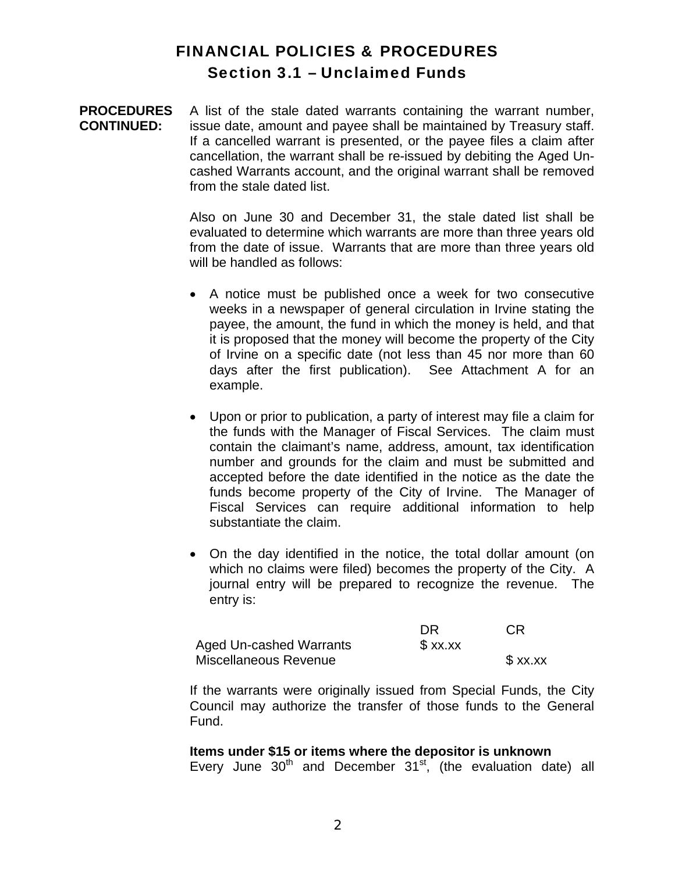# FINANCIAL POLICIES & PROCEDURES Section 3.1 – Unclaimed Funds

**PROCEDURES CONTINUED:**  A list of the stale dated warrants containing the warrant number, issue date, amount and payee shall be maintained by Treasury staff. If a cancelled warrant is presented, or the payee files a claim after cancellation, the warrant shall be re-issued by debiting the Aged Uncashed Warrants account, and the original warrant shall be removed from the stale dated list.

> Also on June 30 and December 31, the stale dated list shall be evaluated to determine which warrants are more than three years old from the date of issue. Warrants that are more than three years old will be handled as follows:

- A notice must be published once a week for two consecutive weeks in a newspaper of general circulation in Irvine stating the payee, the amount, the fund in which the money is held, and that it is proposed that the money will become the property of the City of Irvine on a specific date (not less than 45 nor more than 60 days after the first publication). See Attachment A for an example.
- Upon or prior to publication, a party of interest may file a claim for the funds with the Manager of Fiscal Services. The claim must contain the claimant's name, address, amount, tax identification number and grounds for the claim and must be submitted and accepted before the date identified in the notice as the date the funds become property of the City of Irvine. The Manager of Fiscal Services can require additional information to help substantiate the claim.
- On the day identified in the notice, the total dollar amount (on which no claims were filed) becomes the property of the City. A journal entry will be prepared to recognize the revenue. The entry is:

|                                | DR      | СR        |
|--------------------------------|---------|-----------|
| <b>Aged Un-cashed Warrants</b> | \$xx.xx |           |
| Miscellaneous Revenue          |         | $$$ xx.xx |

If the warrants were originally issued from Special Funds, the City Council may authorize the transfer of those funds to the General Fund.

#### **Items under \$15 or items where the depositor is unknown**

Every June  $30<sup>th</sup>$  and December  $31<sup>st</sup>$ , (the evaluation date) all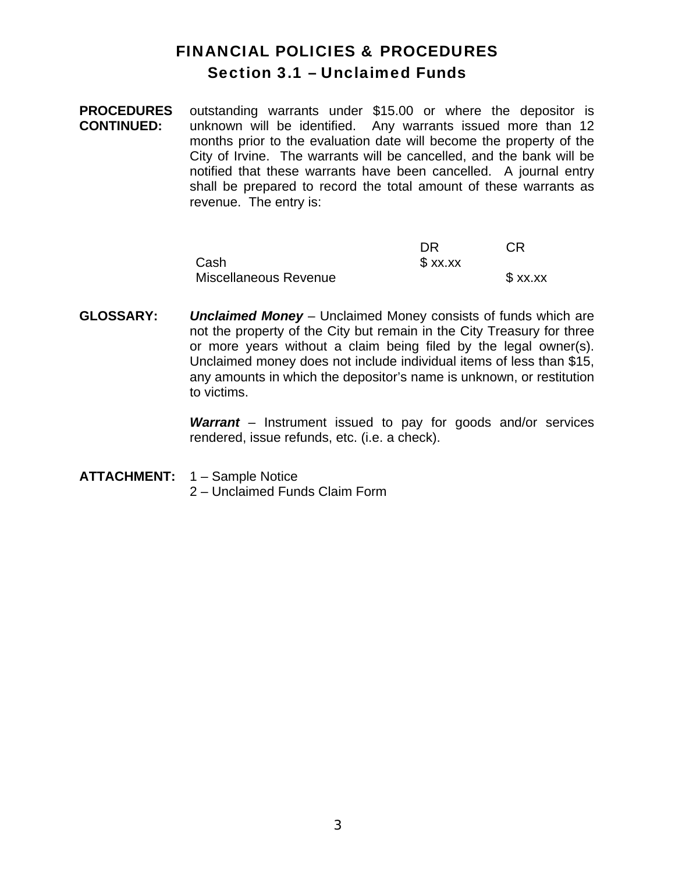# FINANCIAL POLICIES & PROCEDURES Section 3.1 – Unclaimed Funds

**PROCEDURES CONTINUED:**  outstanding warrants under \$15.00 or where the depositor is unknown will be identified. Any warrants issued more than 12 months prior to the evaluation date will become the property of the City of Irvine. The warrants will be cancelled, and the bank will be notified that these warrants have been cancelled. A journal entry shall be prepared to record the total amount of these warrants as revenue. The entry is:

|                       | DR        | CR      |
|-----------------------|-----------|---------|
| Cash                  | $$$ xx.xx |         |
| Miscellaneous Revenue |           | \$xx.xx |

**GLOSSARY:** *Unclaimed Money* – Unclaimed Money consists of funds which are not the property of the City but remain in the City Treasury for three or more years without a claim being filed by the legal owner(s). Unclaimed money does not include individual items of less than \$15, any amounts in which the depositor's name is unknown, or restitution to victims.

> *Warrant* – Instrument issued to pay for goods and/or services rendered, issue refunds, etc. (i.e. a check).

**ATTACHMENT:** 1 – Sample Notice 2 – Unclaimed Funds Claim Form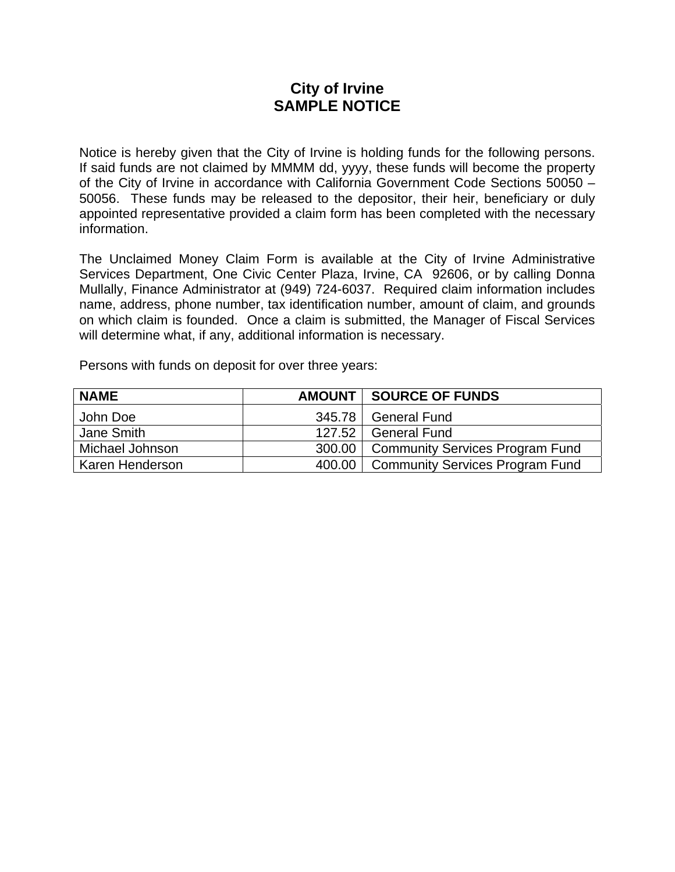### **City of Irvine SAMPLE NOTICE**

Notice is hereby given that the City of Irvine is holding funds for the following persons. If said funds are not claimed by MMMM dd, yyyy, these funds will become the property of the City of Irvine in accordance with California Government Code Sections 50050 – 50056. These funds may be released to the depositor, their heir, beneficiary or duly appointed representative provided a claim form has been completed with the necessary information.

The Unclaimed Money Claim Form is available at the City of Irvine Administrative Services Department, One Civic Center Plaza, Irvine, CA 92606, or by calling Donna Mullally, Finance Administrator at (949) 724-6037. Required claim information includes name, address, phone number, tax identification number, amount of claim, and grounds on which claim is founded. Once a claim is submitted, the Manager of Fiscal Services will determine what, if any, additional information is necessary.

Persons with funds on deposit for over three years:

| <b>NAME</b>     |        | AMOUNT SOURCE OF FUNDS                   |
|-----------------|--------|------------------------------------------|
| John Doe        | 345.78 | <b>General Fund</b>                      |
| Jane Smith      | 127.52 | <b>General Fund</b>                      |
| Michael Johnson |        | 300.00   Community Services Program Fund |
| Karen Henderson |        | 400.00   Community Services Program Fund |